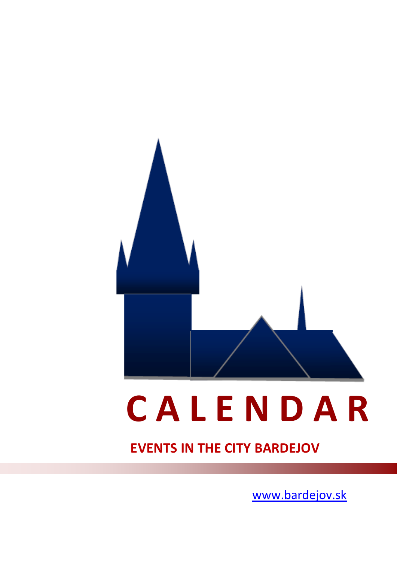

# **<sup>C</sup> <sup>A</sup> <sup>L</sup> <sup>E</sup> <sup>N</sup> <sup>D</sup> <sup>A</sup> R EVENTS IN THE CITY BARDEJOV**

[www.bardejov.sk](http://www.bardejov.sk/)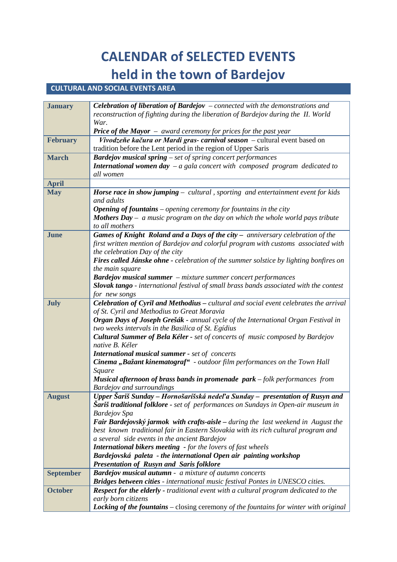# **CALENDAR of SELECTED EVENTS held in the town of Bardejov** CULTURAL AND SOCIAL EVENTS AREA

| <b>January</b>   | <b>Celebration of liberation of Bardejov</b> $-$ connected with the demonstrations and                                              |
|------------------|-------------------------------------------------------------------------------------------------------------------------------------|
|                  | reconstruction of fighting during the liberation of Bardejov during the II. World                                                   |
|                  | War.                                                                                                                                |
|                  | <b>Price of the Mayor</b> $-$ award ceremony for prices for the past year                                                           |
| <b>February</b>  | Vivodzeňe kačura or Mardi gras- carnival season – cultural event based on                                                           |
|                  | tradition before the Lent period in the region of Upper Saris                                                                       |
| <b>March</b>     | <b>Bardejov musical spring</b> $-$ set of spring concert performances                                                               |
|                  | <b>International women day</b> $-a$ gala concert with composed program dedicated to                                                 |
|                  | all women                                                                                                                           |
| <b>April</b>     |                                                                                                                                     |
| <b>May</b>       | <b>Horse race in show jumping</b> $-$ cultural, sporting and entertainment event for kids                                           |
|                  | and adults                                                                                                                          |
|                  | <b>Opening of fountains</b> $-$ opening ceremony for fountains in the city                                                          |
|                  | <b>Mothers Day</b> $-$ a music program on the day on which the whole world pays tribute                                             |
|                  | to all mothers                                                                                                                      |
| <b>June</b>      | Games of Knight Roland and a Days of the city - anniversary celebration of the                                                      |
|                  | first written mention of Bardejov and colorful program with customs associated with                                                 |
|                  | the celebration Day of the city                                                                                                     |
|                  | Fires called Jánske ohne - celebration of the summer solstice by lighting bonfires on                                               |
|                  | the main square                                                                                                                     |
|                  | <b>Bardejov musical summer</b> $-$ mixture summer concert performances                                                              |
|                  | Slovak tango - international festival of small brass bands associated with the contest                                              |
|                  | for new songs                                                                                                                       |
| July             | Celebration of Cyril and Methodius - cultural and social event celebrates the arrival                                               |
|                  | of St. Cyril and Methodius to Great Moravia                                                                                         |
|                  | Organ Days of Joseph Grešák - annual cycle of the International Organ Festival in                                                   |
|                  | two weeks intervals in the Basilica of St. Egídius<br>Cultural Summer of Bela Kéler - set of concerts of music composed by Bardejov |
|                  | native B. Kéler                                                                                                                     |
|                  | <b>International musical summer - set of concerts</b>                                                                               |
|                  | Cinema "Bažant kinematograf" - outdoor film performances on the Town Hall                                                           |
|                  | Square                                                                                                                              |
|                  | <b>Musical afternoon of brass bands in promenade park</b> $-$ folk performances from                                                |
|                  | <b>Bardejov and surroundings</b>                                                                                                    |
| <b>August</b>    | Upper Šariš Sunday - Hornošarišská nedeľa Sunday - presentation of Rusyn and                                                        |
|                  | <b>Šariš traditional folklore -</b> set of performances on Sundays in Open-air museum in                                            |
|                  | <b>Bardejov</b> Spa                                                                                                                 |
|                  | Fair Bardejovský jarmok with crafts-aisle - during the last weekend in August the                                                   |
|                  | best known traditional fair in Eastern Slovakia with its rich cultural program and                                                  |
|                  | a several side events in the ancient Bardejov                                                                                       |
|                  | <b>International bikers meeting</b> - for the lovers of fast wheels                                                                 |
|                  | Bardejovská paleta - the international Open air painting workshop                                                                   |
|                  | <b>Presentation of Rusyn and Saris folklore</b>                                                                                     |
| <b>September</b> | <b>Bardejov musical autumn -</b> a mixture of autumn concerts                                                                       |
|                  | Bridges between cities - international music festival Pontes in UNESCO cities.                                                      |
| <b>October</b>   | <b>Respect for the elderly - traditional event with a cultural program dedicated to the</b>                                         |
|                  | early born citizens                                                                                                                 |
|                  | <b>Locking of the fountains</b> – closing ceremony of the fountains for winter with original                                        |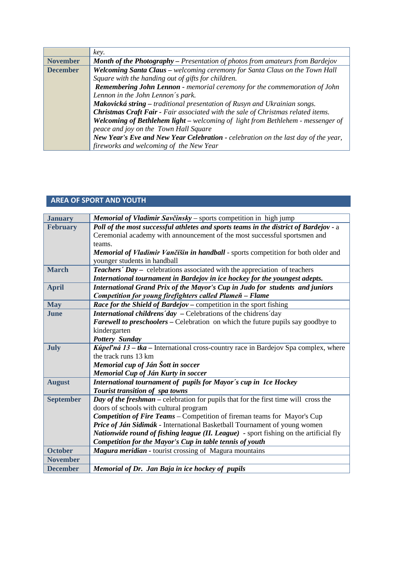|                 | key.                                                                                   |
|-----------------|----------------------------------------------------------------------------------------|
| <b>November</b> | <b>Month of the Photography</b> – Presentation of photos from amateurs from Bardejov   |
| <b>December</b> | Welcoming Santa Claus - welcoming ceremony for Santa Claus on the Town Hall            |
|                 | Square with the handing out of gifts for children.                                     |
|                 | Remembering John Lennon - memorial ceremony for the commemoration of John              |
|                 | Lennon in the John Lennon's park.                                                      |
|                 | Makovická string - traditional presentation of Rusyn and Ukrainian songs.              |
|                 | Christmas Craft Fair - Fair associated with the sale of Christmas related items.       |
|                 | <b>Welcoming of Bethlehem light –</b> welcoming of light from Bethlehem - messenger of |
|                 | peace and joy on the Town Hall Square                                                  |
|                 | New Year's Eve and New Year Celebration - celebration on the last day of the year,     |
|                 | fireworks and welcoming of the New Year                                                |

### **AREA OF SPORT AND YOUTH**

| <b>January</b>   | Memorial of Vladimir Savčinsky - sports competition in high jump                          |
|------------------|-------------------------------------------------------------------------------------------|
| <b>February</b>  | Poll of the most successful athletes and sports teams in the district of Bardejov - a     |
|                  | Ceremonial academy with announcement of the most successful sportsmen and                 |
|                  | teams.                                                                                    |
|                  | Memorial of Vladimir Vančišin in handball - sports competition for both older and         |
|                  | younger students in handball                                                              |
| <b>March</b>     | <b>Teachers' Day -</b> celebrations associated with the appreciation of teachers          |
|                  | International tournament in Bardejov in ice hockey for the youngest adepts.               |
| <b>April</b>     | International Grand Prix of the Mayor's Cup in Judo for students and juniors              |
|                  | Competition for young firefighters called Plameň - Flame                                  |
| <b>May</b>       | Race for the Shield of Bardejov - competition in the sport fishing                        |
| June             | International childrens'day - Celebrations of the chidrens'day                            |
|                  | <b>Farewell to preschoolers – Celebration on which the future pupils say goodbye to</b>   |
|                  | kindergarten                                                                              |
|                  | <b>Pottery Sunday</b>                                                                     |
| <b>July</b>      | <b>Kúpeľná 13 – tka – International cross-country race in Bardejov Spa complex, where</b> |
|                  | the track runs 13 km                                                                      |
|                  | Memorial cup of Ján Šott in soccer                                                        |
|                  | Memorial Cup of Ján Kurty in soccer                                                       |
| <b>August</b>    | International tournament of pupils for Mayor's cup in Ice Hockey                          |
|                  | Tourist transition of spa towns                                                           |
| <b>September</b> | Day of the freshman - celebration for pupils that for the first time will cross the       |
|                  | doors of schools with cultural program                                                    |
|                  | <b>Competition of Fire Teams – Competition of fireman teams for Mayor's Cup</b>           |
|                  | Price of Ján Sidimák - International Basketball Tournament of young women                 |
|                  | Nationwide round of fishing league (II. League) - sport fishing on the artificial fly     |
|                  | Competition for the Mayor's Cup in table tennis of youth                                  |
| <b>October</b>   | Magura meridian - tourist crossing of Magura mountains                                    |
| <b>November</b>  |                                                                                           |
| <b>December</b>  | Memorial of Dr. Jan Baja in ice hockey of pupils                                          |